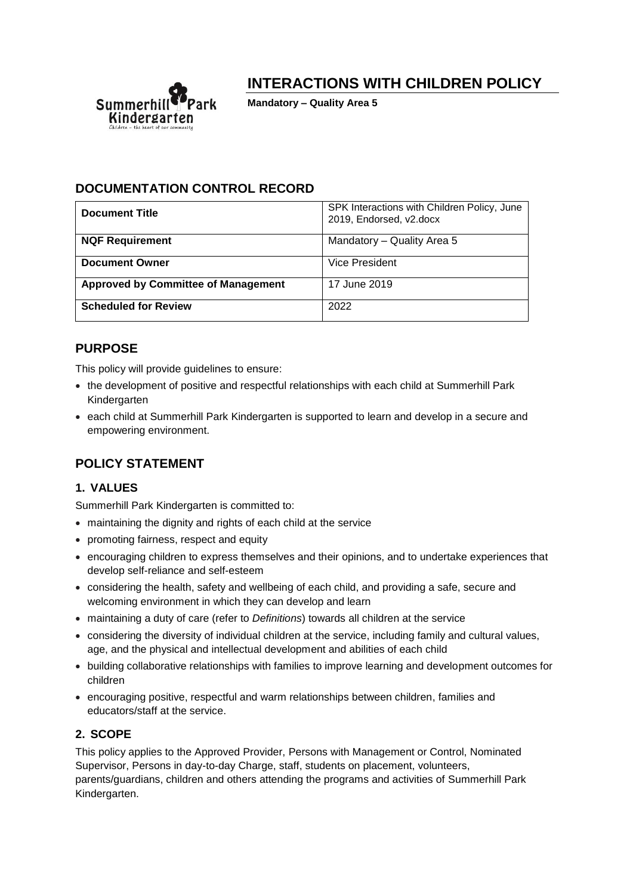

# **INTERACTIONS WITH CHILDREN POLICY**

**Mandatory – Quality Area 5**

## **DOCUMENTATION CONTROL RECORD**

| <b>Document Title</b>                      | SPK Interactions with Children Policy, June<br>2019, Endorsed, v2.docx |
|--------------------------------------------|------------------------------------------------------------------------|
| <b>NQF Requirement</b>                     | Mandatory - Quality Area 5                                             |
| <b>Document Owner</b>                      | Vice President                                                         |
| <b>Approved by Committee of Management</b> | 17 June 2019                                                           |
| <b>Scheduled for Review</b>                | 2022                                                                   |

# **PURPOSE**

This policy will provide guidelines to ensure:

- the development of positive and respectful relationships with each child at Summerhill Park Kindergarten
- each child at Summerhill Park Kindergarten is supported to learn and develop in a secure and empowering environment.

# **POLICY STATEMENT**

## **1. VALUES**

Summerhill Park Kindergarten is committed to:

- maintaining the dignity and rights of each child at the service
- promoting fairness, respect and equity
- encouraging children to express themselves and their opinions, and to undertake experiences that develop self-reliance and self-esteem
- considering the health, safety and wellbeing of each child, and providing a safe, secure and welcoming environment in which they can develop and learn
- maintaining a duty of care (refer to *Definitions*) towards all children at the service
- considering the diversity of individual children at the service, including family and cultural values, age, and the physical and intellectual development and abilities of each child
- building collaborative relationships with families to improve learning and development outcomes for children
- encouraging positive, respectful and warm relationships between children, families and educators/staff at the service.

## **2. SCOPE**

This policy applies to the Approved Provider, Persons with Management or Control, Nominated Supervisor, Persons in day-to-day Charge, staff, students on placement, volunteers, parents/guardians, children and others attending the programs and activities of Summerhill Park Kindergarten.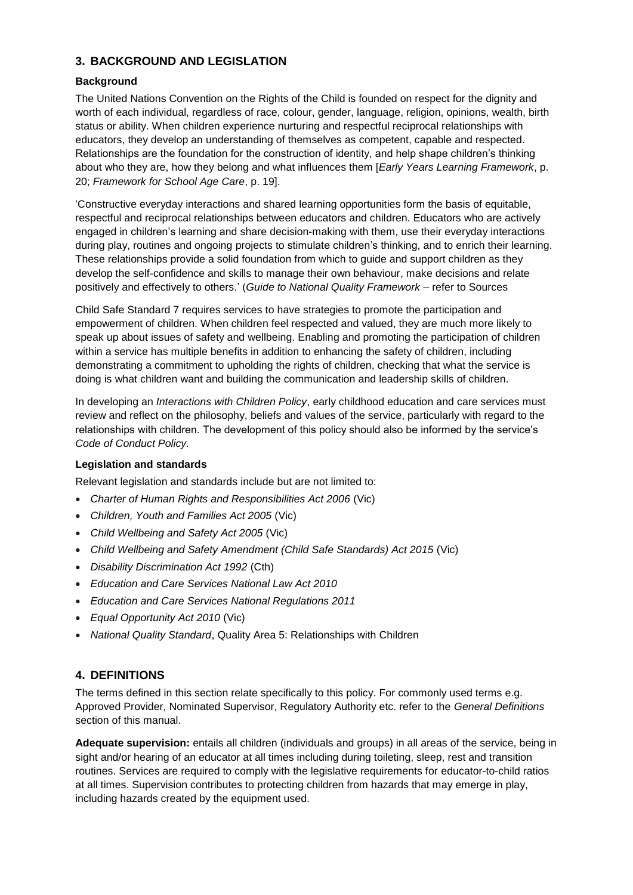### **3. BACKGROUND AND LEGISLATION**

#### **Background**

The United Nations Convention on the Rights of the Child is founded on respect for the dignity and worth of each individual, regardless of race, colour, gender, language, religion, opinions, wealth, birth status or ability. When children experience nurturing and respectful reciprocal relationships with educators, they develop an understanding of themselves as competent, capable and respected. Relationships are the foundation for the construction of identity, and help shape children's thinking about who they are, how they belong and what influences them [*Early Years Learning Framework*, p. 20; *Framework for School Age Care*, p. 19].

'Constructive everyday interactions and shared learning opportunities form the basis of equitable, respectful and reciprocal relationships between educators and children. Educators who are actively engaged in children's learning and share decision-making with them, use their everyday interactions during play, routines and ongoing projects to stimulate children's thinking, and to enrich their learning. These relationships provide a solid foundation from which to guide and support children as they develop the self-confidence and skills to manage their own behaviour, make decisions and relate positively and effectively to others.' (*Guide to National Quality Framework* – refer to Sources

Child Safe Standard 7 requires services to have strategies to promote the participation and empowerment of children. When children feel respected and valued, they are much more likely to speak up about issues of safety and wellbeing. Enabling and promoting the participation of children within a service has multiple benefits in addition to enhancing the safety of children, including demonstrating a commitment to upholding the rights of children, checking that what the service is doing is what children want and building the communication and leadership skills of children.

In developing an *Interactions with Children Policy*, early childhood education and care services must review and reflect on the philosophy, beliefs and values of the service, particularly with regard to the relationships with children. The development of this policy should also be informed by the service's *Code of Conduct Policy.*

#### **Legislation and standards**

Relevant legislation and standards include but are not limited to:

- *Charter of Human Rights and Responsibilities Act 2006* (Vic)
- *Children, Youth and Families Act 2005* (Vic)
- *Child Wellbeing and Safety Act 2005* (Vic)
- *Child Wellbeing and Safety Amendment (Child Safe Standards) Act 2015* (Vic)
- *Disability Discrimination Act 1992* (Cth)
- *Education and Care Services National Law Act 2010*
- *Education and Care Services National Regulations 2011*
- *Equal Opportunity Act 2010* (Vic)
- *National Quality Standard*, Quality Area 5: Relationships with Children

#### **4. DEFINITIONS**

The terms defined in this section relate specifically to this policy. For commonly used terms e.g. Approved Provider, Nominated Supervisor, Regulatory Authority etc. refer to the *General Definitions* section of this manual.

**Adequate supervision:** entails all children (individuals and groups) in all areas of the service, being in sight and/or hearing of an educator at all times including during toileting, sleep, rest and transition routines. Services are required to comply with the legislative requirements for educator-to-child ratios at all times. Supervision contributes to protecting children from hazards that may emerge in play, including hazards created by the equipment used.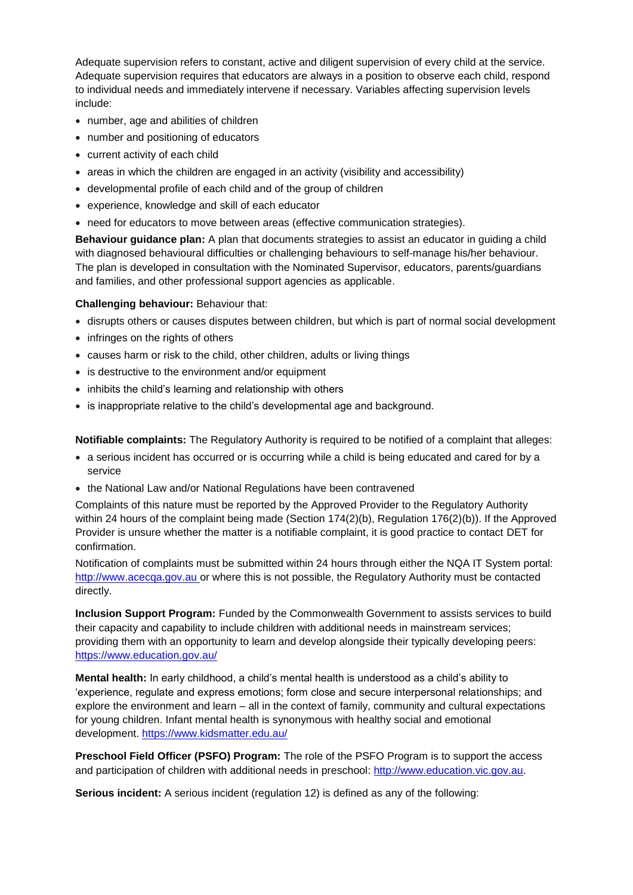Adequate supervision refers to constant, active and diligent supervision of every child at the service. Adequate supervision requires that educators are always in a position to observe each child, respond to individual needs and immediately intervene if necessary. Variables affecting supervision levels include:

- number, age and abilities of children
- number and positioning of educators
- current activity of each child
- areas in which the children are engaged in an activity (visibility and accessibility)
- developmental profile of each child and of the group of children
- experience, knowledge and skill of each educator
- need for educators to move between areas (effective communication strategies).

**Behaviour guidance plan:** A plan that documents strategies to assist an educator in guiding a child with diagnosed behavioural difficulties or challenging behaviours to self-manage his/her behaviour. The plan is developed in consultation with the Nominated Supervisor, educators, parents/guardians and families, and other professional support agencies as applicable.

#### **Challenging behaviour:** Behaviour that:

- disrupts others or causes disputes between children, but which is part of normal social development
- infringes on the rights of others
- causes harm or risk to the child, other children, adults or living things
- is destructive to the environment and/or equipment
- inhibits the child's learning and relationship with others
- is inappropriate relative to the child's developmental age and background.

**Notifiable complaints:** The Regulatory Authority is required to be notified of a complaint that alleges:

- a serious incident has occurred or is occurring while a child is being educated and cared for by a service
- the National Law and/or National Regulations have been contravened

Complaints of this nature must be reported by the Approved Provider to the Regulatory Authority within 24 hours of the complaint being made (Section 174(2)(b), Regulation 176(2)(b)). If the Approved Provider is unsure whether the matter is a notifiable complaint, it is good practice to contact DET for confirmation.

Notification of complaints must be submitted within 24 hours through either the NQA IT System portal: [http://www.acecqa.gov.au](http://www.acecqa.gov.au/) or where this is not possible, the Regulatory Authority must be contacted directly.

**Inclusion Support Program:** Funded by the Commonwealth Government to assists services to build their capacity and capability to include children with additional needs in mainstream services; providing them with an opportunity to learn and develop alongside their typically developing peers: <https://www.education.gov.au/>

**Mental health:** In early childhood, a child's mental health is understood as a child's ability to 'experience, regulate and express emotions; form close and secure interpersonal relationships; and explore the environment and learn – all in the context of family, community and cultural expectations for young children. Infant mental health is synonymous with healthy social and emotional development.<https://www.kidsmatter.edu.au/>

**Preschool Field Officer (PSFO) Program:** The role of the PSFO Program is to support the access and participation of children with additional needs in preschool: [http://www.education.vic.gov.au.](http://www.education.vic.gov.au/Pages/default.aspx)

**Serious incident:** A serious incident (regulation 12) is defined as any of the following: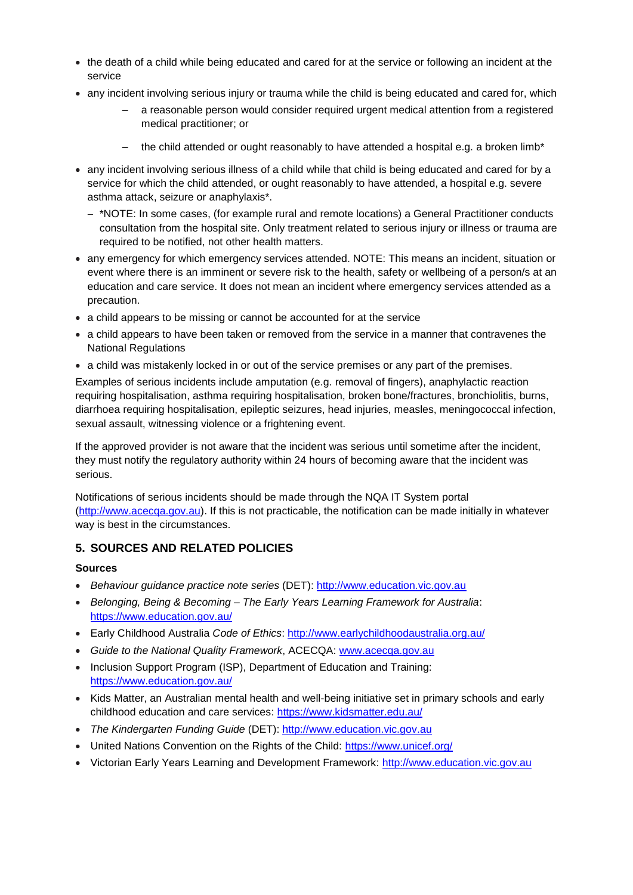- the death of a child while being educated and cared for at the service or following an incident at the service
- any incident involving serious injury or trauma while the child is being educated and cared for, which
	- a reasonable person would consider required urgent medical attention from a registered medical practitioner; or
	- the child attended or ought reasonably to have attended a hospital e.g. a broken limb\*
- any incident involving serious illness of a child while that child is being educated and cared for by a service for which the child attended, or ought reasonably to have attended, a hospital e.g. severe asthma attack, seizure or anaphylaxis\*.
	- − \*NOTE: In some cases, (for example rural and remote locations) a General Practitioner conducts consultation from the hospital site. Only treatment related to serious injury or illness or trauma are required to be notified, not other health matters.
- any emergency for which emergency services attended. NOTE: This means an incident, situation or event where there is an imminent or severe risk to the health, safety or wellbeing of a person/s at an education and care service. It does not mean an incident where emergency services attended as a precaution.
- a child appears to be missing or cannot be accounted for at the service
- a child appears to have been taken or removed from the service in a manner that contravenes the National Regulations
- a child was mistakenly locked in or out of the service premises or any part of the premises.

Examples of serious incidents include amputation (e.g. removal of fingers), anaphylactic reaction requiring hospitalisation, asthma requiring hospitalisation, broken bone/fractures, bronchiolitis, burns, diarrhoea requiring hospitalisation, epileptic seizures, head injuries, measles, meningococcal infection, sexual assault, witnessing violence or a frightening event.

If the approved provider is not aware that the incident was serious until sometime after the incident, they must notify the regulatory authority within 24 hours of becoming aware that the incident was serious.

Notifications of serious incidents should be made through the NQA IT System portal [\(http://www.acecqa.gov.au\)](http://www.acecqa.gov.au/). If this is not practicable, the notification can be made initially in whatever way is best in the circumstances.

## **5. SOURCES AND RELATED POLICIES**

#### **Sources**

- *Behaviour guidance practice note series* (DET): [http://www.education.vic.gov.au](http://www.education.vic.gov.au/Pages/default.aspx)
- *Belonging, Being & Becoming – The Early Years Learning Framework for Australia*: <https://www.education.gov.au/>
- Early Childhood Australia Code of Ethics:<http://www.earlychildhoodaustralia.org.au/>
- *Guide to the National Quality Framework*, ACECQA: [www.acecqa.gov.au](http://www.acecqa.gov.au/)
- Inclusion Support Program (ISP), Department of Education and Training: <https://www.education.gov.au/>
- Kids Matter, an Australian mental health and well-being initiative set in primary schools and early childhood education and care services:<https://www.kidsmatter.edu.au/>
- *The Kindergarten Funding Guide* (DET): [http://www.education.vic.gov.au](http://www.education.vic.gov.au/Pages/default.aspx)
- United Nations Convention on the Rights of the Child:<https://www.unicef.org/>
- Victorian Early Years Learning and Development Framework: [http://www.education.vic.gov.au](http://www.education.vic.gov.au/Pages/default.aspx)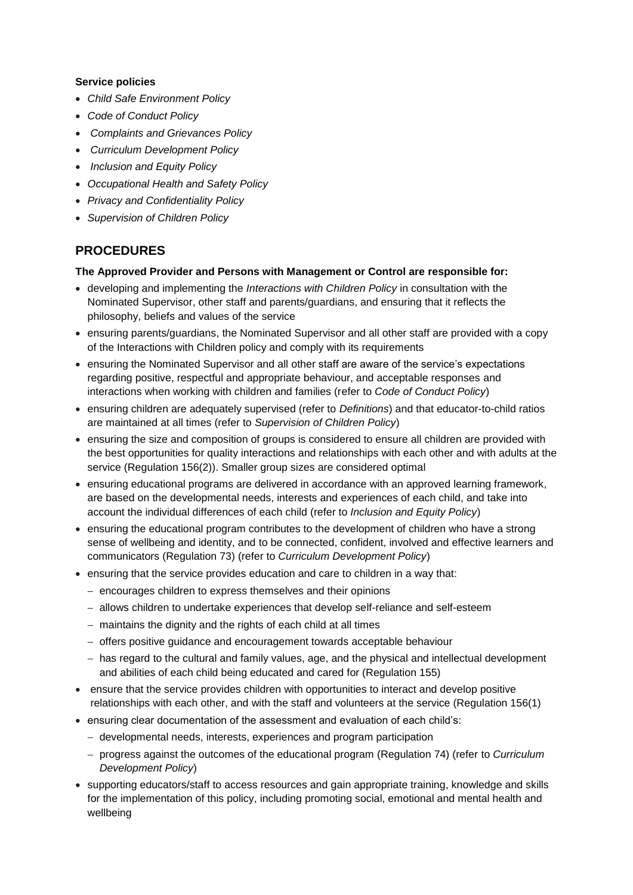#### **Service policies**

- *Child Safe Environment Policy*
- *Code of Conduct Policy*
- *Complaints and Grievances Policy*
- *Curriculum Development Policy*
- *Inclusion and Equity Policy*
- *Occupational Health and Safety Policy*
- *Privacy and Confidentiality Policy*
- *Supervision of Children Policy*

# **PROCEDURES**

#### **The Approved Provider and Persons with Management or Control are responsible for:**

- developing and implementing the *Interactions with Children Policy* in consultation with the Nominated Supervisor, other staff and parents/guardians, and ensuring that it reflects the philosophy, beliefs and values of the service
- ensuring parents/guardians, the Nominated Supervisor and all other staff are provided with a copy of the Interactions with Children policy and comply with its requirements
- ensuring the Nominated Supervisor and all other staff are aware of the service's expectations regarding positive, respectful and appropriate behaviour, and acceptable responses and interactions when working with children and families (refer to *Code of Conduct Policy*)
- ensuring children are adequately supervised (refer to *Definitions*) and that educator-to-child ratios are maintained at all times (refer to *Supervision of Children Policy*)
- ensuring the size and composition of groups is considered to ensure all children are provided with the best opportunities for quality interactions and relationships with each other and with adults at the service (Regulation 156(2)). Smaller group sizes are considered optimal
- ensuring educational programs are delivered in accordance with an approved learning framework, are based on the developmental needs, interests and experiences of each child, and take into account the individual differences of each child (refer to *Inclusion and Equity Policy*)
- ensuring the educational program contributes to the development of children who have a strong sense of wellbeing and identity, and to be connected, confident, involved and effective learners and communicators (Regulation 73) (refer to *Curriculum Development Policy*)
- ensuring that the service provides education and care to children in a way that:
	- − encourages children to express themselves and their opinions
	- − allows children to undertake experiences that develop self-reliance and self-esteem
	- − maintains the dignity and the rights of each child at all times
	- − offers positive guidance and encouragement towards acceptable behaviour
	- − has regard to the cultural and family values, age, and the physical and intellectual development and abilities of each child being educated and cared for (Regulation 155)
- ensure that the service provides children with opportunities to interact and develop positive relationships with each other, and with the staff and volunteers at the service (Regulation 156(1)
- ensuring clear documentation of the assessment and evaluation of each child's:
	- − developmental needs, interests, experiences and program participation
	- − progress against the outcomes of the educational program (Regulation 74) (refer to *Curriculum Development Policy*)
- supporting educators/staff to access resources and gain appropriate training, knowledge and skills for the implementation of this policy, including promoting social, emotional and mental health and wellbeing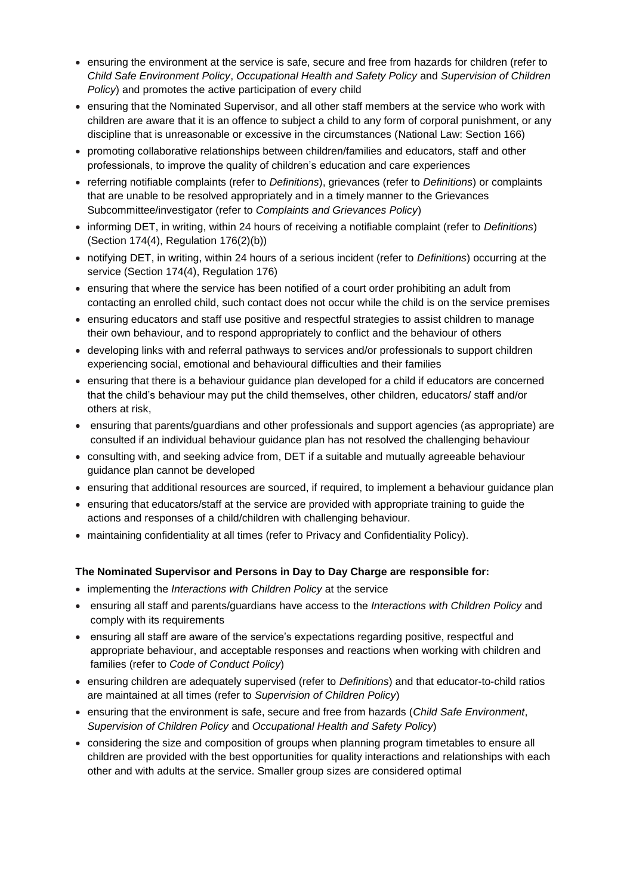- ensuring the environment at the service is safe, secure and free from hazards for children (refer to *Child Safe Environment Policy*, *Occupational Health and Safety Policy* and *Supervision of Children Policy*) and promotes the active participation of every child
- ensuring that the Nominated Supervisor, and all other staff members at the service who work with children are aware that it is an offence to subject a child to any form of corporal punishment, or any discipline that is unreasonable or excessive in the circumstances (National Law: Section 166)
- promoting collaborative relationships between children/families and educators, staff and other professionals, to improve the quality of children's education and care experiences
- referring notifiable complaints (refer to *Definitions*), grievances (refer to *Definitions*) or complaints that are unable to be resolved appropriately and in a timely manner to the Grievances Subcommittee/investigator (refer to *Complaints and Grievances Policy*)
- informing DET, in writing, within 24 hours of receiving a notifiable complaint (refer to *Definitions*) (Section 174(4), Regulation 176(2)(b))
- notifying DET, in writing, within 24 hours of a serious incident (refer to *Definitions*) occurring at the service (Section 174(4), Regulation 176)
- ensuring that where the service has been notified of a court order prohibiting an adult from contacting an enrolled child, such contact does not occur while the child is on the service premises
- ensuring educators and staff use positive and respectful strategies to assist children to manage their own behaviour, and to respond appropriately to conflict and the behaviour of others
- developing links with and referral pathways to services and/or professionals to support children experiencing social, emotional and behavioural difficulties and their families
- ensuring that there is a behaviour guidance plan developed for a child if educators are concerned that the child's behaviour may put the child themselves, other children, educators/ staff and/or others at risk,
- ensuring that parents/guardians and other professionals and support agencies (as appropriate) are consulted if an individual behaviour guidance plan has not resolved the challenging behaviour
- consulting with, and seeking advice from, DET if a suitable and mutually agreeable behaviour guidance plan cannot be developed
- ensuring that additional resources are sourced, if required, to implement a behaviour guidance plan
- ensuring that educators/staff at the service are provided with appropriate training to guide the actions and responses of a child/children with challenging behaviour.
- maintaining confidentiality at all times (refer to Privacy and Confidentiality Policy).

#### **The Nominated Supervisor and Persons in Day to Day Charge are responsible for:**

- implementing the *Interactions with Children Policy* at the service
- ensuring all staff and parents/guardians have access to the *Interactions with Children Policy* and comply with its requirements
- ensuring all staff are aware of the service's expectations regarding positive, respectful and appropriate behaviour, and acceptable responses and reactions when working with children and families (refer to *Code of Conduct Policy*)
- ensuring children are adequately supervised (refer to *Definitions*) and that educator-to-child ratios are maintained at all times (refer to *Supervision of Children Policy*)
- ensuring that the environment is safe, secure and free from hazards (*Child Safe Environment*, *Supervision of Children Policy* and *Occupational Health and Safety Policy*)
- considering the size and composition of groups when planning program timetables to ensure all children are provided with the best opportunities for quality interactions and relationships with each other and with adults at the service. Smaller group sizes are considered optimal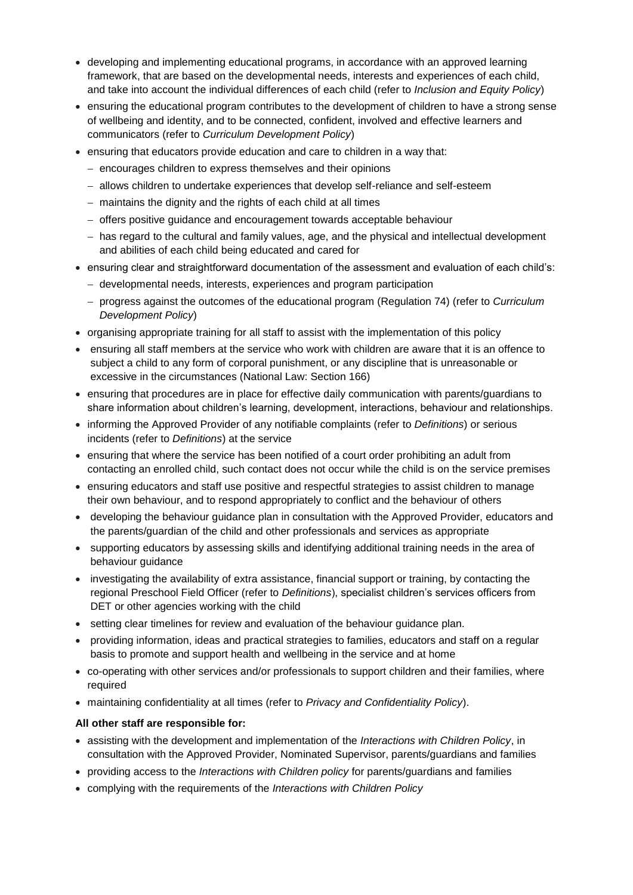- developing and implementing educational programs, in accordance with an approved learning framework, that are based on the developmental needs, interests and experiences of each child, and take into account the individual differences of each child (refer to *Inclusion and Equity Policy*)
- ensuring the educational program contributes to the development of children to have a strong sense of wellbeing and identity, and to be connected, confident, involved and effective learners and communicators (refer to *Curriculum Development Policy*)
- ensuring that educators provide education and care to children in a way that:
	- − encourages children to express themselves and their opinions
	- − allows children to undertake experiences that develop self-reliance and self-esteem
	- − maintains the dignity and the rights of each child at all times
	- − offers positive guidance and encouragement towards acceptable behaviour
	- − has regard to the cultural and family values, age, and the physical and intellectual development and abilities of each child being educated and cared for
- ensuring clear and straightforward documentation of the assessment and evaluation of each child's:
	- − developmental needs, interests, experiences and program participation
	- − progress against the outcomes of the educational program (Regulation 74) (refer to *Curriculum Development Policy*)
- organising appropriate training for all staff to assist with the implementation of this policy
- ensuring all staff members at the service who work with children are aware that it is an offence to subject a child to any form of corporal punishment, or any discipline that is unreasonable or excessive in the circumstances (National Law: Section 166)
- ensuring that procedures are in place for effective daily communication with parents/guardians to share information about children's learning, development, interactions, behaviour and relationships.
- informing the Approved Provider of any notifiable complaints (refer to *Definitions*) or serious incidents (refer to *Definitions*) at the service
- ensuring that where the service has been notified of a court order prohibiting an adult from contacting an enrolled child, such contact does not occur while the child is on the service premises
- ensuring educators and staff use positive and respectful strategies to assist children to manage their own behaviour, and to respond appropriately to conflict and the behaviour of others
- developing the behaviour guidance plan in consultation with the Approved Provider, educators and the parents/guardian of the child and other professionals and services as appropriate
- supporting educators by assessing skills and identifying additional training needs in the area of behaviour guidance
- investigating the availability of extra assistance, financial support or training, by contacting the regional Preschool Field Officer (refer to *Definitions*), specialist children's services officers from DET or other agencies working with the child
- setting clear timelines for review and evaluation of the behaviour guidance plan.
- providing information, ideas and practical strategies to families, educators and staff on a regular basis to promote and support health and wellbeing in the service and at home
- co-operating with other services and/or professionals to support children and their families, where required
- maintaining confidentiality at all times (refer to *Privacy and Confidentiality Policy*).

#### **All other staff are responsible for:**

- assisting with the development and implementation of the *Interactions with Children Policy*, in consultation with the Approved Provider, Nominated Supervisor, parents/guardians and families
- providing access to the *Interactions with Children policy* for parents/guardians and families
- complying with the requirements of the *Interactions with Children Policy*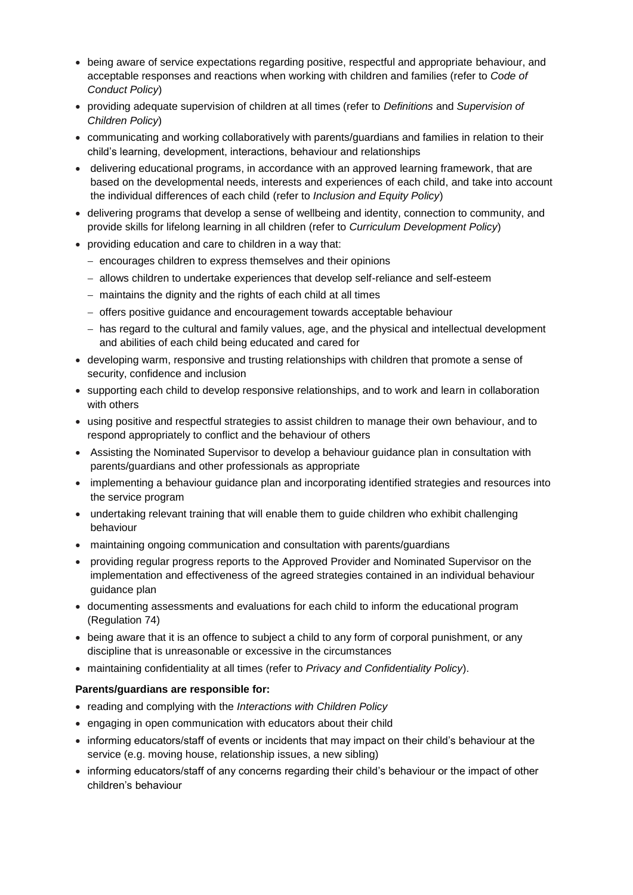- being aware of service expectations regarding positive, respectful and appropriate behaviour, and acceptable responses and reactions when working with children and families (refer to *Code of Conduct Policy*)
- providing adequate supervision of children at all times (refer to *Definitions* and *Supervision of Children Policy*)
- communicating and working collaboratively with parents/guardians and families in relation to their child's learning, development, interactions, behaviour and relationships
- delivering educational programs, in accordance with an approved learning framework, that are based on the developmental needs, interests and experiences of each child, and take into account the individual differences of each child (refer to *Inclusion and Equity Policy*)
- delivering programs that develop a sense of wellbeing and identity, connection to community, and provide skills for lifelong learning in all children (refer to *Curriculum Development Policy*)
- providing education and care to children in a way that:
	- − encourages children to express themselves and their opinions
	- − allows children to undertake experiences that develop self-reliance and self-esteem
	- − maintains the dignity and the rights of each child at all times
	- − offers positive guidance and encouragement towards acceptable behaviour
	- − has regard to the cultural and family values, age, and the physical and intellectual development and abilities of each child being educated and cared for
- developing warm, responsive and trusting relationships with children that promote a sense of security, confidence and inclusion
- supporting each child to develop responsive relationships, and to work and learn in collaboration with others
- using positive and respectful strategies to assist children to manage their own behaviour, and to respond appropriately to conflict and the behaviour of others
- Assisting the Nominated Supervisor to develop a behaviour guidance plan in consultation with parents/guardians and other professionals as appropriate
- implementing a behaviour guidance plan and incorporating identified strategies and resources into the service program
- undertaking relevant training that will enable them to quide children who exhibit challenging behaviour
- maintaining ongoing communication and consultation with parents/guardians
- providing regular progress reports to the Approved Provider and Nominated Supervisor on the implementation and effectiveness of the agreed strategies contained in an individual behaviour guidance plan
- documenting assessments and evaluations for each child to inform the educational program (Regulation 74)
- being aware that it is an offence to subject a child to any form of corporal punishment, or any discipline that is unreasonable or excessive in the circumstances
- maintaining confidentiality at all times (refer to *Privacy and Confidentiality Policy*).

#### **Parents/guardians are responsible for:**

- reading and complying with the *Interactions with Children Policy*
- engaging in open communication with educators about their child
- informing educators/staff of events or incidents that may impact on their child's behaviour at the service (e.g. moving house, relationship issues, a new sibling)
- informing educators/staff of any concerns regarding their child's behaviour or the impact of other children's behaviour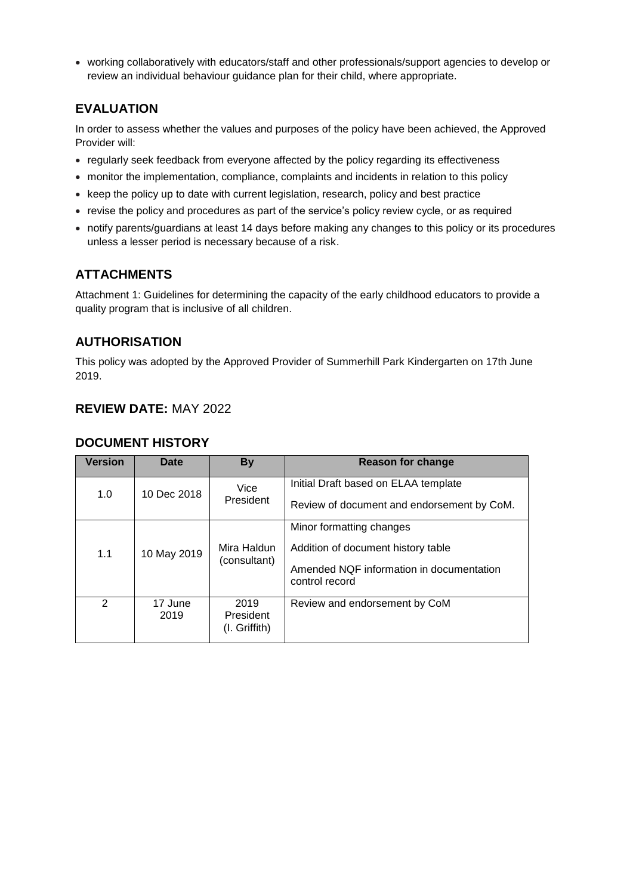• working collaboratively with educators/staff and other professionals/support agencies to develop or review an individual behaviour guidance plan for their child, where appropriate.

# **EVALUATION**

In order to assess whether the values and purposes of the policy have been achieved, the Approved Provider will:

- regularly seek feedback from everyone affected by the policy regarding its effectiveness
- monitor the implementation, compliance, complaints and incidents in relation to this policy
- keep the policy up to date with current legislation, research, policy and best practice
- revise the policy and procedures as part of the service's policy review cycle, or as required
- notify parents/guardians at least 14 days before making any changes to this policy or its procedures unless a lesser period is necessary because of a risk.

# **ATTACHMENTS**

Attachment 1: Guidelines for determining the capacity of the early childhood educators to provide a quality program that is inclusive of all children.

## **AUTHORISATION**

This policy was adopted by the Approved Provider of Summerhill Park Kindergarten on 17th June 2019.

# **REVIEW DATE:** MAY 2022

| <b>Version</b> | Date            | <b>By</b>                          | Reason for change                                                                                                            |
|----------------|-----------------|------------------------------------|------------------------------------------------------------------------------------------------------------------------------|
| 1.0            | 10 Dec 2018     | Vice<br>President                  | Initial Draft based on ELAA template<br>Review of document and endorsement by CoM.                                           |
| 1.1            | 10 May 2019     | Mira Haldun<br>(consultant)        | Minor formatting changes<br>Addition of document history table<br>Amended NQF information in documentation<br>control record |
| $\mathcal{P}$  | 17 June<br>2019 | 2019<br>President<br>(I. Griffith) | Review and endorsement by CoM                                                                                                |

## **DOCUMENT HISTORY**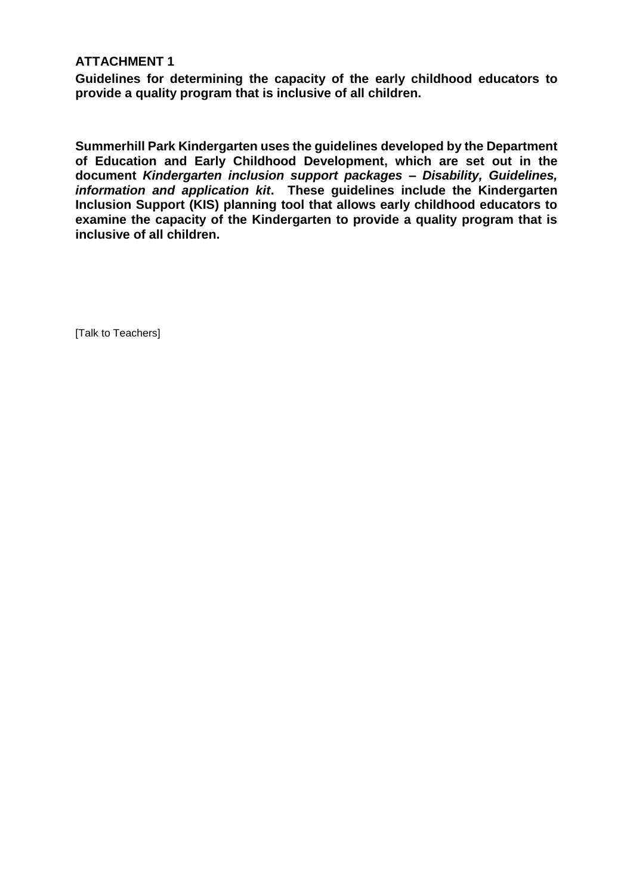## **ATTACHMENT 1**

**Guidelines for determining the capacity of the early childhood educators to provide a quality program that is inclusive of all children.**

**Summerhill Park Kindergarten uses the guidelines developed by the Department of Education and Early Childhood Development, which are set out in the document** *Kindergarten inclusion support packages – Disability, Guidelines, information and application kit***. These guidelines include the Kindergarten Inclusion Support (KIS) planning tool that allows early childhood educators to examine the capacity of the Kindergarten to provide a quality program that is inclusive of all children.** 

[Talk to Teachers]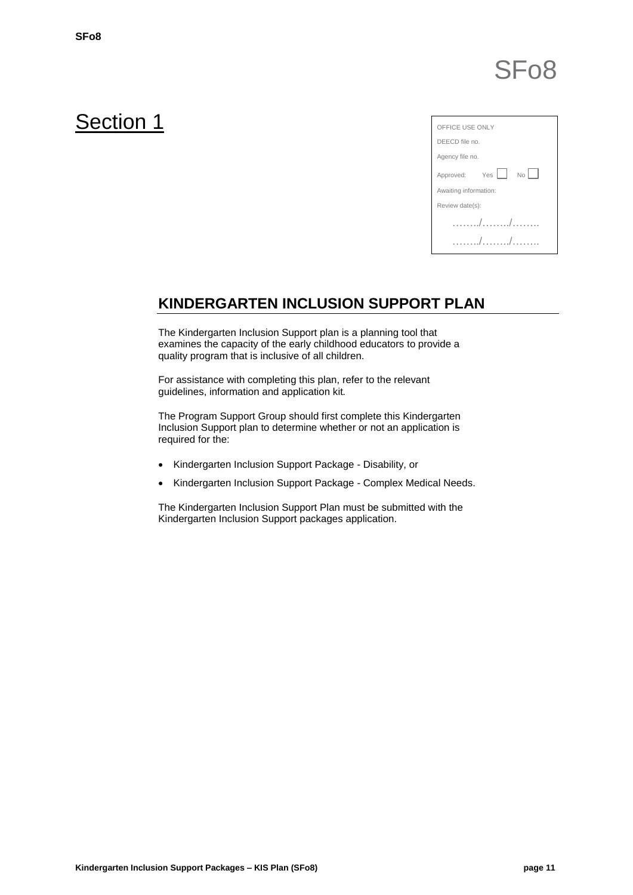# SFo8

# Section 1

| OFFICE USE ONLY                               |  |  |  |  |
|-----------------------------------------------|--|--|--|--|
| DEECD file no.                                |  |  |  |  |
| Agency file no.                               |  |  |  |  |
| Approved: Yes<br>$\mathbb{N} \circ   \quad  $ |  |  |  |  |
| Awaiting information:                         |  |  |  |  |
| Review date(s):                               |  |  |  |  |
| $\sqrt{2}$                                    |  |  |  |  |
|                                               |  |  |  |  |

# **KINDERGARTEN INCLUSION SUPPORT PLAN**

The Kindergarten Inclusion Support plan is a planning tool that examines the capacity of the early childhood educators to provide a quality program that is inclusive of all children.

For assistance with completing this plan, refer to the relevant guidelines, information and application kit*.*

The Program Support Group should first complete this Kindergarten Inclusion Support plan to determine whether or not an application is required for the:

- Kindergarten Inclusion Support Package Disability, or
- Kindergarten Inclusion Support Package Complex Medical Needs.

The Kindergarten Inclusion Support Plan must be submitted with the Kindergarten Inclusion Support packages application.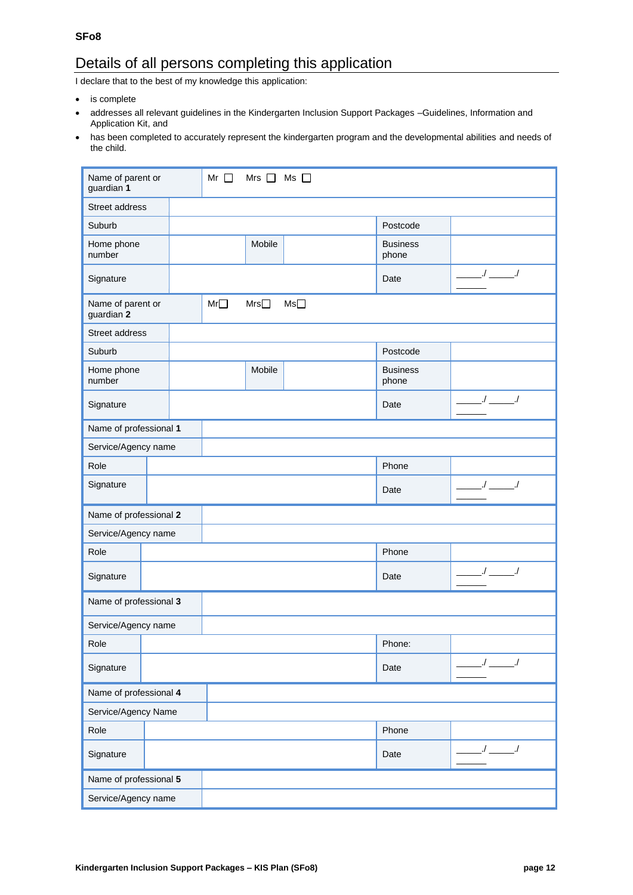**SFo8**

# Details of all persons completing this application

I declare that to the best of my knowledge this application:

- is complete
- addresses all relevant guidelines in the Kindergarten Inclusion Support Packages –Guidelines, Information and Application Kit, and
- has been completed to accurately represent the kindergarten program and the developmental abilities and needs of the child.

| Name of parent or<br>guardian 1                                                 |                        |  | Mr $\Box$ | Mrs $\Box$ | $Ms$ $\square$ |                          |                       |
|---------------------------------------------------------------------------------|------------------------|--|-----------|------------|----------------|--------------------------|-----------------------|
| Street address                                                                  |                        |  |           |            |                |                          |                       |
| Suburb                                                                          |                        |  |           |            |                | Postcode                 |                       |
| Home phone<br>number                                                            |                        |  |           | Mobile     |                | <b>Business</b><br>phone |                       |
| Signature                                                                       |                        |  |           |            |                | Date                     | $1 - 1$               |
| $Mr\Box$<br>Ms <sup>1</sup><br>Name of parent or<br>Mrs $\square$<br>guardian 2 |                        |  |           |            |                |                          |                       |
| Street address                                                                  |                        |  |           |            |                |                          |                       |
| Suburb                                                                          |                        |  |           |            |                | Postcode                 |                       |
| Home phone<br>number                                                            |                        |  |           | Mobile     |                | <b>Business</b><br>phone |                       |
| Signature                                                                       |                        |  |           |            |                | Date                     | $\sqrt{ }$            |
| Name of professional 1                                                          |                        |  |           |            |                |                          |                       |
|                                                                                 | Service/Agency name    |  |           |            |                |                          |                       |
| Role                                                                            |                        |  |           |            |                | Phone                    |                       |
| Signature                                                                       |                        |  |           |            |                | Date                     | $J \equiv -J$         |
|                                                                                 | Name of professional 2 |  |           |            |                |                          |                       |
| Service/Agency name                                                             |                        |  |           |            |                |                          |                       |
| Role                                                                            |                        |  |           |            |                | Phone                    |                       |
| Signature                                                                       |                        |  |           |            |                | Date                     | $1 - 1$               |
| Name of professional 3                                                          |                        |  |           |            |                |                          |                       |
| Service/Agency name                                                             |                        |  |           |            |                |                          |                       |
| Role                                                                            |                        |  |           |            |                | Phone:                   |                       |
| Signature                                                                       |                        |  |           |            |                | Date                     | $1$ $-1$              |
| Name of professional 4                                                          |                        |  |           |            |                |                          |                       |
| Service/Agency Name                                                             |                        |  |           |            |                |                          |                       |
| Role                                                                            |                        |  |           |            |                | Phone                    |                       |
| Signature                                                                       |                        |  |           |            |                | Date                     | $\_$ / $\_$ $\_$ $\_$ |
| Name of professional 5                                                          |                        |  |           |            |                |                          |                       |
| Service/Agency name                                                             |                        |  |           |            |                |                          |                       |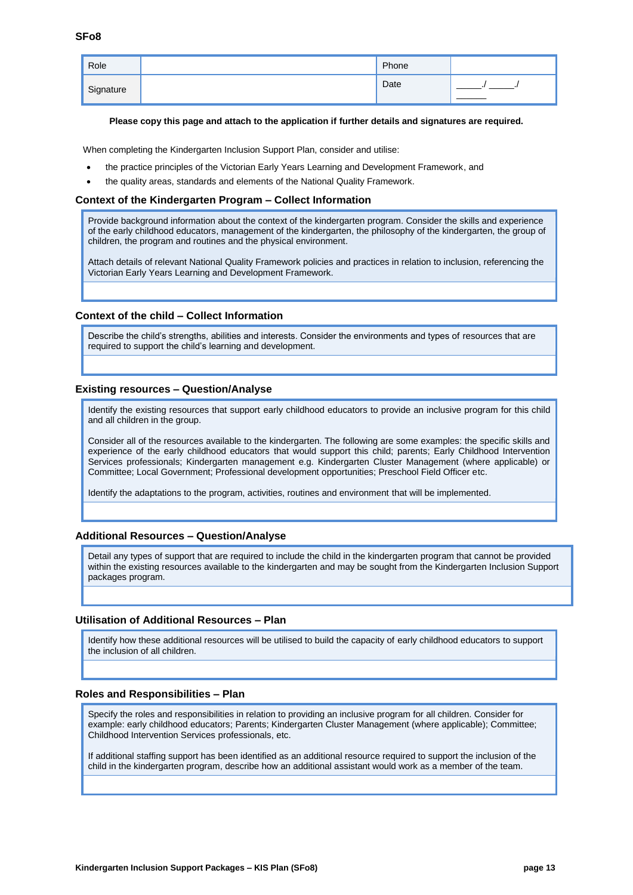| Role      | Phone |  |
|-----------|-------|--|
| Signature | Date  |  |
|           |       |  |

#### **Please copy this page and attach to the application if further details and signatures are required.**

When completing the Kindergarten Inclusion Support Plan, consider and utilise:

- the practice principles of the Victorian Early Years Learning and Development Framework, and
- the quality areas, standards and elements of the National Quality Framework.

#### **Context of the Kindergarten Program – Collect Information**

Provide background information about the context of the kindergarten program. Consider the skills and experience of the early childhood educators, management of the kindergarten, the philosophy of the kindergarten, the group of children, the program and routines and the physical environment.

Attach details of relevant National Quality Framework policies and practices in relation to inclusion, referencing the Victorian Early Years Learning and Development Framework.

#### **Context of the child – Collect Information**

Describe the child's strengths, abilities and interests. Consider the environments and types of resources that are required to support the child's learning and development.

#### **Existing resources – Question/Analyse**

Identify the existing resources that support early childhood educators to provide an inclusive program for this child and all children in the group.

Consider all of the resources available to the kindergarten. The following are some examples: the specific skills and experience of the early childhood educators that would support this child; parents; Early Childhood Intervention Services professionals; Kindergarten management e.g. Kindergarten Cluster Management (where applicable) or Committee; Local Government; Professional development opportunities; Preschool Field Officer etc.

Identify the adaptations to the program, activities, routines and environment that will be implemented.

#### **Additional Resources – Question/Analyse**

Detail any types of support that are required to include the child in the kindergarten program that cannot be provided within the existing resources available to the kindergarten and may be sought from the Kindergarten Inclusion Support packages program.

#### **Utilisation of Additional Resources – Plan**

Identify how these additional resources will be utilised to build the capacity of early childhood educators to support the inclusion of all children.

#### **Roles and Responsibilities – Plan**

Specify the roles and responsibilities in relation to providing an inclusive program for all children. Consider for example: early childhood educators; Parents; Kindergarten Cluster Management (where applicable); Committee; Childhood Intervention Services professionals, etc.

If additional staffing support has been identified as an additional resource required to support the inclusion of the child in the kindergarten program, describe how an additional assistant would work as a member of the team.